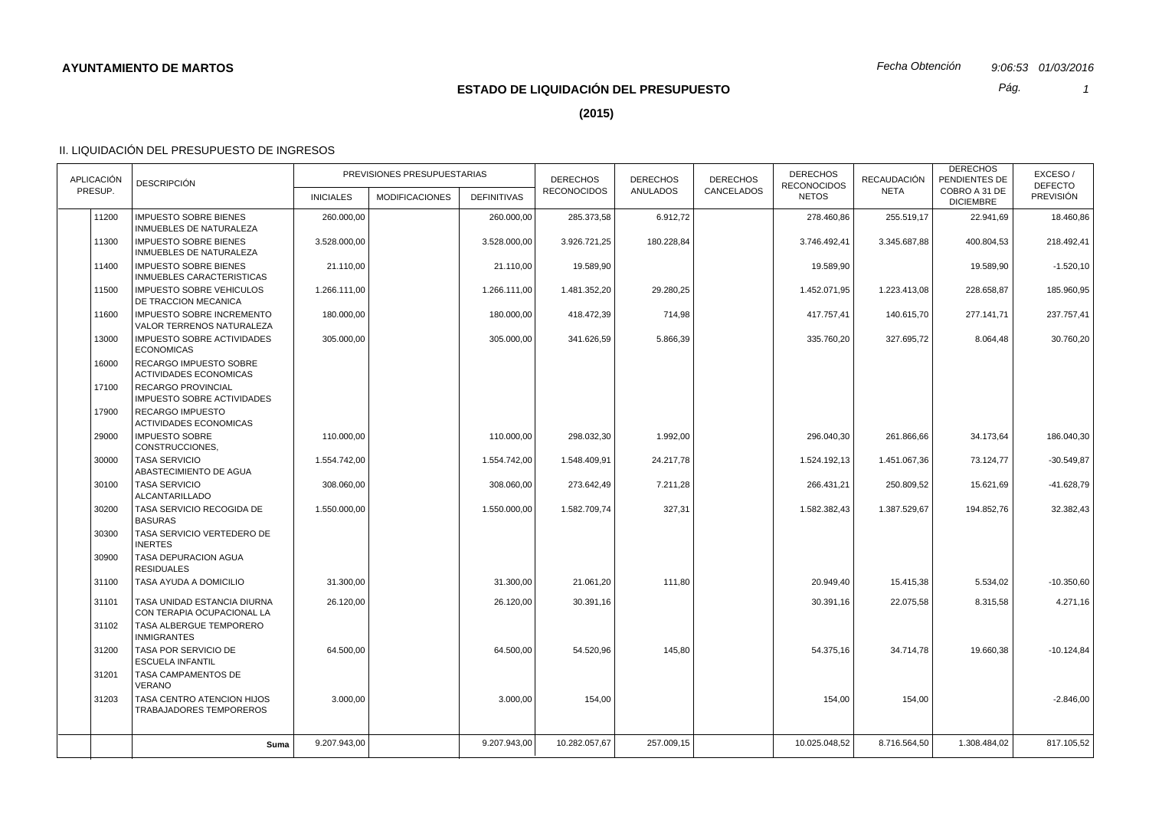*Pág.*

*1*

**(2015)**

| <b>APLICACIÓN</b> | <b>DESCRIPCIÓN</b>                                            | PREVISIONES PRESUPUESTARIAS |                       |                    | <b>DERECHOS</b>    | <b>DERECHOS</b> | <b>DERECHOS</b><br><b>CANCELADOS</b> | <b>DERECHOS</b><br><b>RECONOCIDOS</b> | <b>RECAUDACIÓN</b> | <b>DERECHOS</b><br>PENDIENTES DE  | EXCESO/<br><b>DEFECTO</b> |
|-------------------|---------------------------------------------------------------|-----------------------------|-----------------------|--------------------|--------------------|-----------------|--------------------------------------|---------------------------------------|--------------------|-----------------------------------|---------------------------|
| PRESUP.           |                                                               | <b>INICIALES</b>            | <b>MODIFICACIONES</b> | <b>DEFINITIVAS</b> | <b>RECONOCIDOS</b> | <b>ANULADOS</b> |                                      | <b>NETOS</b>                          | <b>NETA</b>        | COBRO A 31 DE<br><b>DICIEMBRE</b> | <b>PREVISIÓN</b>          |
| 11200             | <b>IMPUESTO SOBRE BIENES</b><br>INMUEBLES DE NATURALEZA       | 260.000,00                  |                       | 260.000,00         | 285.373,58         | 6.912,72        |                                      | 278.460,86                            | 255.519,17         | 22.941,69                         | 18.460,86                 |
| 11300             | <b>IMPUESTO SOBRE BIENES</b><br>INMUEBLES DE NATURALEZA       | 3.528.000,00                |                       | 3.528.000,00       | 3.926.721,25       | 180.228,84      |                                      | 3.746.492,41                          | 3.345.687,88       | 400.804,53                        | 218.492,41                |
| 11400             | <b>IMPUESTO SOBRE BIENES</b><br>INMUEBLES CARACTERISTICAS     | 21.110,00                   |                       | 21.110,00          | 19.589,90          |                 |                                      | 19.589,90                             |                    | 19.589,90                         | $-1.520, 10$              |
| 11500             | <b>IMPUESTO SOBRE VEHICULOS</b><br>DE TRACCION MECANICA       | 1.266.111.00                |                       | 1.266.111.00       | 1.481.352,20       | 29.280,25       |                                      | 1.452.071.95                          | 1.223.413,08       | 228.658.87                        | 185.960.95                |
| 11600             | <b>IMPUESTO SOBRE INCREMENTO</b><br>VALOR TERRENOS NATURALEZA | 180.000,00                  |                       | 180.000,00         | 418.472,39         | 714,98          |                                      | 417.757,41                            | 140.615,70         | 277.141,71                        | 237.757,41                |
| 13000             | <b>IMPUESTO SOBRE ACTIVIDADES</b><br><b>ECONOMICAS</b>        | 305.000,00                  |                       | 305.000,00         | 341.626,59         | 5.866,39        |                                      | 335.760,20                            | 327.695,72         | 8.064,48                          | 30.760,20                 |
| 16000             | RECARGO IMPUESTO SOBRE<br><b>ACTIVIDADES ECONOMICAS</b>       |                             |                       |                    |                    |                 |                                      |                                       |                    |                                   |                           |
| 17100             | RECARGO PROVINCIAL<br>IMPUESTO SOBRE ACTIVIDADES              |                             |                       |                    |                    |                 |                                      |                                       |                    |                                   |                           |
| 17900             | <b>RECARGO IMPUESTO</b><br><b>ACTIVIDADES ECONOMICAS</b>      |                             |                       |                    |                    |                 |                                      |                                       |                    |                                   |                           |
| 29000             | <b>IMPUESTO SOBRE</b><br>CONSTRUCCIONES,                      | 110.000,00                  |                       | 110.000,00         | 298.032,30         | 1.992,00        |                                      | 296.040,30                            | 261.866,66         | 34.173,64                         | 186.040,30                |
| 30000             | <b>TASA SERVICIO</b><br>ABASTECIMIENTO DE AGUA                | 1.554.742.00                |                       | 1.554.742.00       | 1.548.409.91       | 24.217,78       |                                      | 1.524.192.13                          | 1.451.067,36       | 73.124,77                         | $-30.549.87$              |
| 30100             | <b>TASA SERVICIO</b><br><b>ALCANTARILLADO</b>                 | 308.060,00                  |                       | 308.060,00         | 273.642,49         | 7.211,28        |                                      | 266.431,21                            | 250.809,52         | 15.621,69                         | $-41.628,79$              |
| 30200             | TASA SERVICIO RECOGIDA DE<br><b>BASURAS</b>                   | 1.550.000,00                |                       | 1.550.000,00       | 1.582.709,74       | 327,31          |                                      | 1.582.382,43                          | 1.387.529,67       | 194.852,76                        | 32.382,43                 |
| 30300             | TASA SERVICIO VERTEDERO DE<br><b>INERTES</b>                  |                             |                       |                    |                    |                 |                                      |                                       |                    |                                   |                           |
| 30900             | TASA DEPURACION AGUA<br><b>RESIDUALES</b>                     |                             |                       |                    |                    |                 |                                      |                                       |                    |                                   |                           |
| 31100             | TASA AYUDA A DOMICILIO                                        | 31.300,00                   |                       | 31.300,00          | 21.061,20          | 111,80          |                                      | 20.949,40                             | 15.415,38          | 5.534,02                          | $-10.350,60$              |
| 31101             | TASA UNIDAD ESTANCIA DIURNA<br>CON TERAPIA OCUPACIONAL LA     | 26.120,00                   |                       | 26.120,00          | 30.391,16          |                 |                                      | 30.391,16                             | 22.075,58          | 8.315,58                          | 4.271,16                  |
| 31102             | TASA ALBERGUE TEMPORERO<br><b>INMIGRANTES</b>                 |                             |                       |                    |                    |                 |                                      |                                       |                    |                                   |                           |
| 31200             | TASA POR SERVICIO DE<br><b>ESCUELA INFANTIL</b>               | 64.500,00                   |                       | 64.500,00          | 54.520,96          | 145,80          |                                      | 54.375,16                             | 34.714,78          | 19.660,38                         | $-10.124,84$              |
| 31201             | <b>TASA CAMPAMENTOS DE</b><br><b>VERANO</b>                   |                             |                       |                    |                    |                 |                                      |                                       |                    |                                   |                           |
| 31203             | TASA CENTRO ATENCION HIJOS<br>TRABAJADORES TEMPOREROS         | 3.000,00                    |                       | 3.000,00           | 154,00             |                 |                                      | 154,00                                | 154,00             |                                   | $-2.846,00$               |
|                   | Suma                                                          | 9.207.943,00                |                       | 9.207.943,00       | 10.282.057,67      | 257.009,15      |                                      | 10.025.048,52                         | 8.716.564,50       | 1.308.484,02                      | 817.105,52                |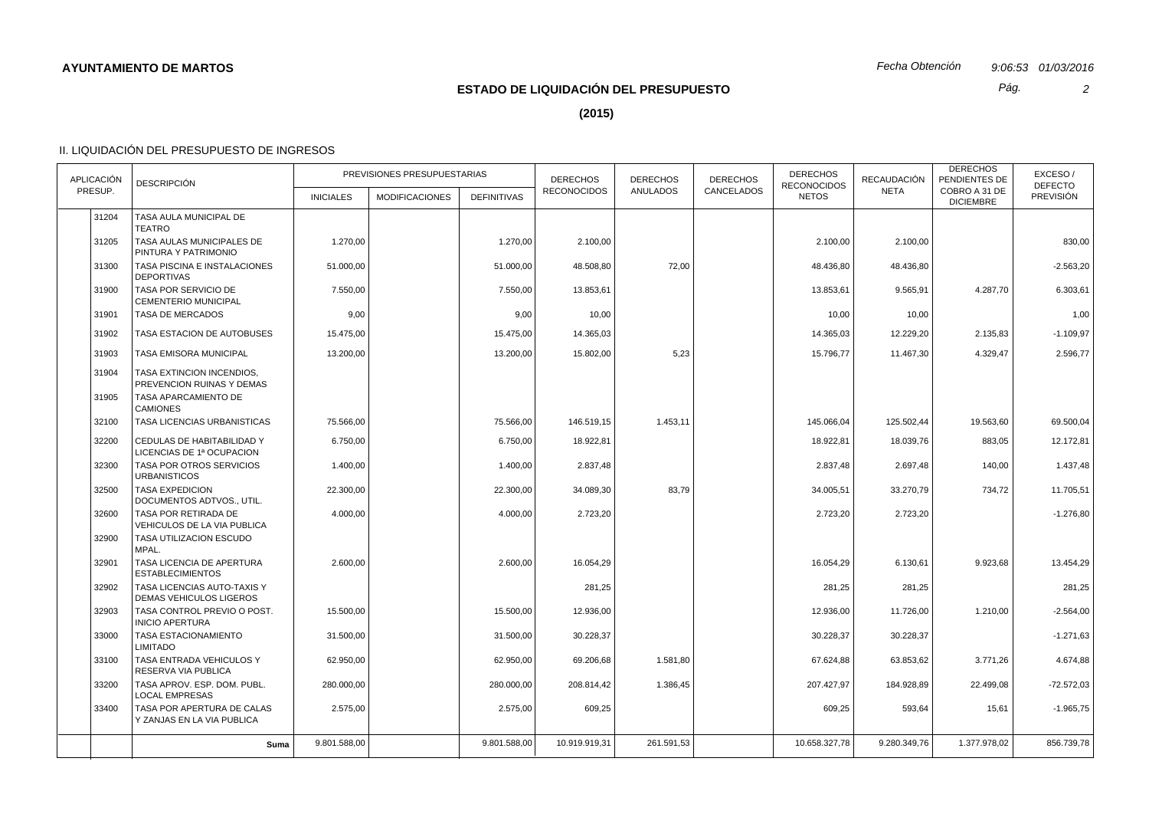*Pág.*

*2*

**(2015)**

| <b>APLICACIÓN</b><br>PRESUP. |       | <b>DESCRIPCIÓN</b>                                       | PREVISIONES PRESUPUESTARIAS |                       |                    | <b>DERECHOS</b><br><b>RECONOCIDOS</b> | <b>DERECHOS</b><br><b>ANULADOS</b> | <b>DERECHOS</b> | <b>DERECHOS</b><br><b>RECONOCIDOS</b> | <b>RECAUDACIÓN</b> | <b>DERECHOS</b><br>PENDIENTES DE  | EXCESO/<br><b>DEFECTO</b> |
|------------------------------|-------|----------------------------------------------------------|-----------------------------|-----------------------|--------------------|---------------------------------------|------------------------------------|-----------------|---------------------------------------|--------------------|-----------------------------------|---------------------------|
|                              |       |                                                          | <b>INICIALES</b>            | <b>MODIFICACIONES</b> | <b>DEFINITIVAS</b> |                                       |                                    | CANCELADOS      | <b>NETOS</b>                          | <b>NETA</b>        | COBRO A 31 DE<br><b>DICIEMBRE</b> | <b>PREVISIÓN</b>          |
|                              | 31204 | TASA AULA MUNICIPAL DE<br><b>TEATRO</b>                  |                             |                       |                    |                                       |                                    |                 |                                       |                    |                                   |                           |
|                              | 31205 | TASA AULAS MUNICIPALES DE<br>PINTURA Y PATRIMONIO        | 1.270,00                    |                       | 1.270,00           | 2.100,00                              |                                    |                 | 2.100,00                              | 2.100,00           |                                   | 830,00                    |
|                              | 31300 | TASA PISCINA E INSTALACIONES<br><b>DEPORTIVAS</b>        | 51.000,00                   |                       | 51.000,00          | 48.508,80                             | 72,00                              |                 | 48.436,80                             | 48.436,80          |                                   | $-2.563,20$               |
|                              | 31900 | TASA POR SERVICIO DE<br><b>CEMENTERIO MUNICIPAL</b>      | 7.550,00                    |                       | 7.550,00           | 13.853,61                             |                                    |                 | 13.853,61                             | 9.565,91           | 4.287,70                          | 6.303,61                  |
|                              | 31901 | <b>TASA DE MERCADOS</b>                                  | 9,00                        |                       | 9,00               | 10,00                                 |                                    |                 | 10,00                                 | 10,00              |                                   | 1,00                      |
|                              | 31902 | TASA ESTACION DE AUTOBUSES                               | 15.475,00                   |                       | 15.475,00          | 14.365,03                             |                                    |                 | 14.365,03                             | 12.229,20          | 2.135,83                          | $-1.109,97$               |
|                              | 31903 | <b>TASA EMISORA MUNICIPAL</b>                            | 13.200,00                   |                       | 13.200,00          | 15.802,00                             | 5,23                               |                 | 15.796.77                             | 11.467,30          | 4.329,47                          | 2.596,77                  |
|                              | 31904 | TASA EXTINCION INCENDIOS,<br>PREVENCION RUINAS Y DEMAS   |                             |                       |                    |                                       |                                    |                 |                                       |                    |                                   |                           |
|                              | 31905 | TASA APARCAMIENTO DE<br><b>CAMIONES</b>                  |                             |                       |                    |                                       |                                    |                 |                                       |                    |                                   |                           |
|                              | 32100 | TASA LICENCIAS URBANISTICAS                              | 75.566,00                   |                       | 75.566,00          | 146.519,15                            | 1.453,11                           |                 | 145.066,04                            | 125.502,44         | 19.563,60                         | 69.500,04                 |
|                              | 32200 | CEDULAS DE HABITABILIDAD Y<br>LICENCIAS DE 1ª OCUPACION  | 6.750,00                    |                       | 6.750,00           | 18.922,81                             |                                    |                 | 18.922,81                             | 18.039,76          | 883,05                            | 12.172,81                 |
|                              | 32300 | TASA POR OTROS SERVICIOS<br><b>URBANISTICOS</b>          | 1.400,00                    |                       | 1.400,00           | 2.837,48                              |                                    |                 | 2.837,48                              | 2.697,48           | 140,00                            | 1.437,48                  |
|                              | 32500 | <b>TASA EXPEDICION</b><br>DOCUMENTOS ADTVOS., UTIL.      | 22.300,00                   |                       | 22.300,00          | 34.089,30                             | 83,79                              |                 | 34.005,51                             | 33.270,79          | 734,72                            | 11.705,51                 |
|                              | 32600 | TASA POR RETIRADA DE<br>VEHICULOS DE LA VIA PUBLICA      | 4.000,00                    |                       | 4.000,00           | 2.723,20                              |                                    |                 | 2.723,20                              | 2.723,20           |                                   | $-1.276,80$               |
|                              | 32900 | <b>TASA UTILIZACION ESCUDO</b><br>MPAL.                  |                             |                       |                    |                                       |                                    |                 |                                       |                    |                                   |                           |
|                              | 32901 | TASA LICENCIA DE APERTURA<br><b>ESTABLECIMIENTOS</b>     | 2.600,00                    |                       | 2.600,00           | 16.054,29                             |                                    |                 | 16.054,29                             | 6.130,61           | 9.923,68                          | 13.454,29                 |
|                              | 32902 | TASA LICENCIAS AUTO-TAXIS Y<br>DEMAS VEHICULOS LIGEROS   |                             |                       |                    | 281,25                                |                                    |                 | 281,25                                | 281,25             |                                   | 281,25                    |
|                              | 32903 | TASA CONTROL PREVIO O POST.<br><b>INICIO APERTURA</b>    | 15.500,00                   |                       | 15.500,00          | 12.936,00                             |                                    |                 | 12.936,00                             | 11.726,00          | 1.210,00                          | $-2.564,00$               |
|                              | 33000 | TASA ESTACIONAMIENTO<br><b>LIMITADO</b>                  | 31.500,00                   |                       | 31.500,00          | 30.228,37                             |                                    |                 | 30.228,37                             | 30.228,37          |                                   | $-1.271,63$               |
|                              | 33100 | TASA ENTRADA VEHICULOS Y<br>RESERVA VIA PUBLICA          | 62.950,00                   |                       | 62.950,00          | 69.206,68                             | 1.581,80                           |                 | 67.624,88                             | 63.853,62          | 3.771,26                          | 4.674,88                  |
|                              | 33200 | TASA APROV. ESP. DOM. PUBL.<br><b>LOCAL EMPRESAS</b>     | 280.000,00                  |                       | 280.000,00         | 208.814,42                            | 1.386,45                           |                 | 207.427,97                            | 184.928,89         | 22.499,08                         | $-72.572,03$              |
|                              | 33400 | TASA POR APERTURA DE CALAS<br>Y ZANJAS EN LA VIA PUBLICA | 2.575,00                    |                       | 2.575,00           | 609,25                                |                                    |                 | 609,25                                | 593,64             | 15,61                             | $-1.965,75$               |
|                              |       | Suma                                                     | 9.801.588.00                |                       | 9.801.588,00       | 10.919.919.31                         | 261.591.53                         |                 | 10.658.327.78                         | 9.280.349,76       | 1.377.978.02                      | 856.739.78                |
|                              |       |                                                          |                             |                       |                    |                                       |                                    |                 |                                       |                    |                                   |                           |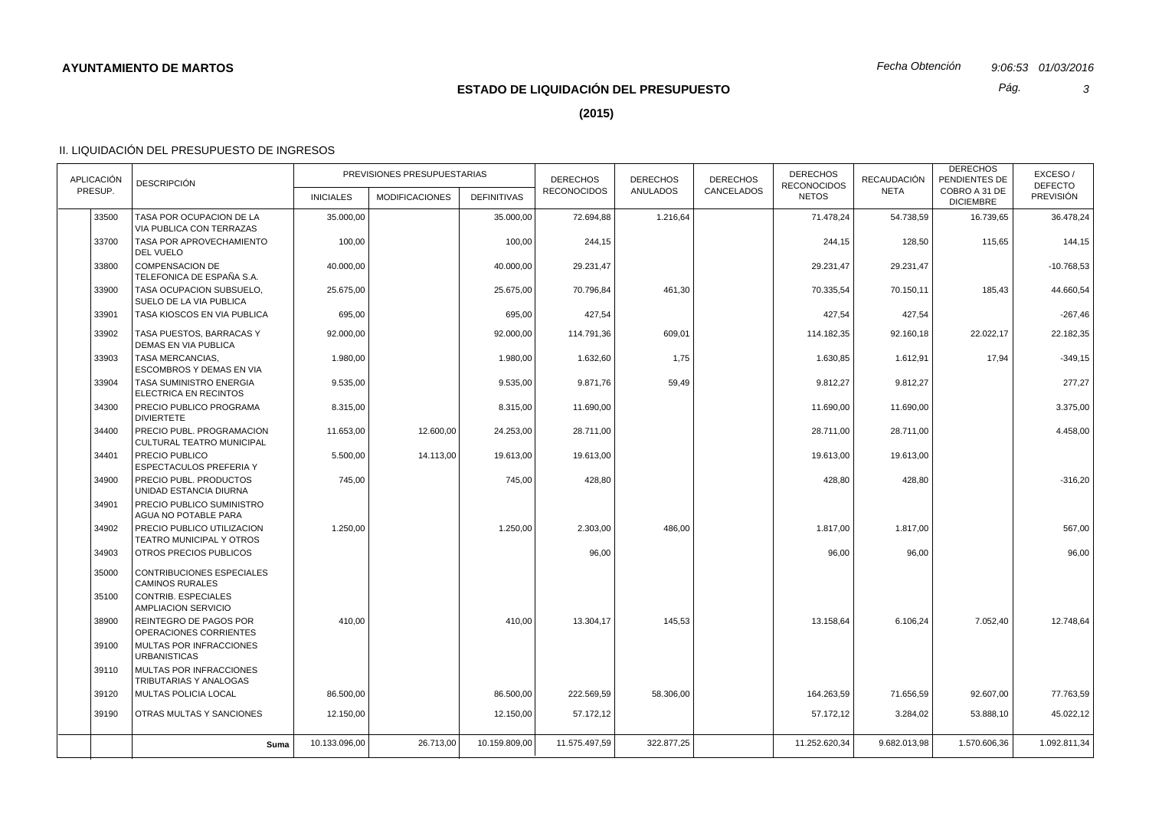*Pág.*

*3*

**(2015)**

| <b>APLICACIÓN</b> |       | <b>DESCRIPCIÓN</b>                                       | PREVISIONES PRESUPUESTARIAS |                       |                    | <b>DERECHOS</b><br><b>RECONOCIDOS</b> | <b>DERECHOS</b><br><b>ANULADOS</b> | <b>DERECHOS</b><br>CANCELADOS | <b>DERECHOS</b><br><b>RECONOCIDOS</b> | <b>RECAUDACIÓN</b> | <b>DERECHOS</b><br>PENDIENTES DE  | EXCESO/<br><b>DEFECTO</b> |
|-------------------|-------|----------------------------------------------------------|-----------------------------|-----------------------|--------------------|---------------------------------------|------------------------------------|-------------------------------|---------------------------------------|--------------------|-----------------------------------|---------------------------|
| PRESUP.           |       |                                                          | <b>INICIALES</b>            | <b>MODIFICACIONES</b> | <b>DEFINITIVAS</b> |                                       |                                    |                               | <b>NETOS</b>                          | <b>NETA</b>        | COBRO A 31 DE<br><b>DICIEMBRE</b> | <b>PREVISIÓN</b>          |
|                   | 33500 | TASA POR OCUPACION DE LA<br>VIA PUBLICA CON TERRAZAS     | 35.000,00                   |                       | 35.000,00          | 72.694,88                             | 1.216,64                           |                               | 71.478,24                             | 54.738,59          | 16.739,65                         | 36.478,24                 |
|                   | 33700 | TASA POR APROVECHAMIENTO<br><b>DEL VUELO</b>             | 100,00                      |                       | 100,00             | 244,15                                |                                    |                               | 244,15                                | 128,50             | 115,65                            | 144,15                    |
|                   | 33800 | <b>COMPENSACION DE</b><br>TELEFONICA DE ESPAÑA S.A.      | 40.000,00                   |                       | 40.000,00          | 29.231,47                             |                                    |                               | 29.231,47                             | 29.231,47          |                                   | $-10.768,53$              |
|                   | 33900 | TASA OCUPACION SUBSUELO,<br>SUELO DE LA VIA PUBLICA      | 25.675,00                   |                       | 25.675,00          | 70.796,84                             | 461,30                             |                               | 70.335,54                             | 70.150,11          | 185,43                            | 44.660,54                 |
| 33901             |       | TASA KIOSCOS EN VIA PUBLICA                              | 695,00                      |                       | 695,00             | 427,54                                |                                    |                               | 427,54                                | 427,54             |                                   | $-267,46$                 |
|                   | 33902 | TASA PUESTOS, BARRACAS Y<br>DEMAS EN VIA PUBLICA         | 92.000,00                   |                       | 92.000,00          | 114.791,36                            | 609,01                             |                               | 114.182,35                            | 92.160,18          | 22.022,17                         | 22.182,35                 |
|                   | 33903 | <b>TASA MERCANCIAS.</b><br>ESCOMBROS Y DEMAS EN VIA      | 1.980,00                    |                       | 1.980,00           | 1.632,60                              | 1,75                               |                               | 1.630,85                              | 1.612,91           | 17,94                             | $-349,15$                 |
| 33904             |       | <b>TASA SUMINISTRO ENERGIA</b><br>ELECTRICA EN RECINTOS  | 9.535,00                    |                       | 9.535,00           | 9.871,76                              | 59,49                              |                               | 9.812,27                              | 9.812,27           |                                   | 277,27                    |
|                   | 34300 | PRECIO PUBLICO PROGRAMA<br><b>DIVIERTETE</b>             | 8.315,00                    |                       | 8.315,00           | 11.690,00                             |                                    |                               | 11.690,00                             | 11.690,00          |                                   | 3.375,00                  |
|                   | 34400 | PRECIO PUBL, PROGRAMACION<br>CULTURAL TEATRO MUNICIPAL   | 11.653,00                   | 12.600,00             | 24.253,00          | 28.711,00                             |                                    |                               | 28.711,00                             | 28.711,00          |                                   | 4.458,00                  |
| 34401             |       | PRECIO PUBLICO<br>ESPECTACULOS PREFERIA Y                | 5.500,00                    | 14.113,00             | 19.613,00          | 19.613,00                             |                                    |                               | 19.613,00                             | 19.613,00          |                                   |                           |
|                   | 34900 | PRECIO PUBL. PRODUCTOS<br>UNIDAD ESTANCIA DIURNA         | 745,00                      |                       | 745,00             | 428,80                                |                                    |                               | 428,80                                | 428,80             |                                   | $-316,20$                 |
| 34901             |       | PRECIO PUBLICO SUMINISTRO<br>AGUA NO POTABLE PARA        |                             |                       |                    |                                       |                                    |                               |                                       |                    |                                   |                           |
|                   | 34902 | PRECIO PUBLICO UTILIZACION<br>TEATRO MUNICIPAL Y OTROS   | 1.250,00                    |                       | 1.250,00           | 2.303,00                              | 486,00                             |                               | 1.817,00                              | 1.817,00           |                                   | 567,00                    |
|                   | 34903 | OTROS PRECIOS PUBLICOS                                   |                             |                       |                    | 96,00                                 |                                    |                               | 96,00                                 | 96,00              |                                   | 96,00                     |
|                   | 35000 | CONTRIBUCIONES ESPECIALES<br><b>CAMINOS RURALES</b>      |                             |                       |                    |                                       |                                    |                               |                                       |                    |                                   |                           |
|                   | 35100 | CONTRIB. ESPECIALES<br>AMPLIACION SERVICIO               |                             |                       |                    |                                       |                                    |                               |                                       |                    |                                   |                           |
|                   | 38900 | REINTEGRO DE PAGOS POR<br>OPERACIONES CORRIENTES         | 410,00                      |                       | 410,00             | 13.304,17                             | 145,53                             |                               | 13.158,64                             | 6.106,24           | 7.052,40                          | 12.748,64                 |
|                   | 39100 | MULTAS POR INFRACCIONES<br><b>URBANISTICAS</b>           |                             |                       |                    |                                       |                                    |                               |                                       |                    |                                   |                           |
|                   | 39110 | <b>MULTAS POR INFRACCIONES</b><br>TRIBUTARIAS Y ANALOGAS |                             |                       |                    |                                       |                                    |                               |                                       |                    |                                   |                           |
|                   | 39120 | MULTAS POLICIA LOCAL                                     | 86.500,00                   |                       | 86.500,00          | 222.569,59                            | 58.306,00                          |                               | 164.263,59                            | 71.656,59          | 92.607,00                         | 77.763,59                 |
|                   | 39190 | OTRAS MULTAS Y SANCIONES                                 | 12.150,00                   |                       | 12.150,00          | 57.172,12                             |                                    |                               | 57.172,12                             | 3.284,02           | 53.888,10                         | 45.022,12                 |
|                   |       | Suma                                                     | 10.133.096,00               | 26.713,00             | 10.159.809,00      | 11.575.497,59                         | 322.877,25                         |                               | 11.252.620,34                         | 9.682.013,98       | 1.570.606,36                      | 1.092.811,34              |
|                   |       |                                                          |                             |                       |                    |                                       |                                    |                               |                                       |                    |                                   |                           |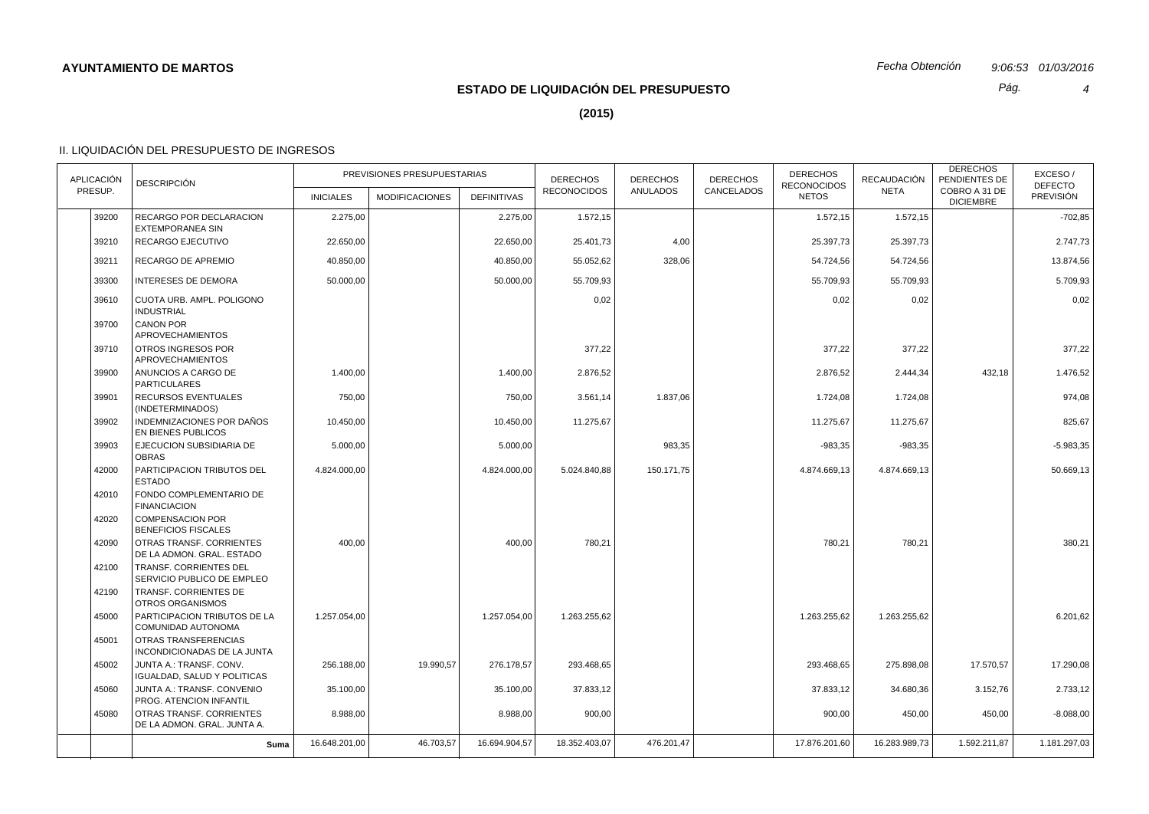*Pág.*

*4*

**(2015)**

| <b>APLICACIÓN</b><br>PRESUP.<br>39200 |       | <b>DESCRIPCIÓN</b>                                      | PREVISIONES PRESUPUESTARIAS |                       |                    | <b>DERECHOS</b>    | <b>DERECHOS</b><br><b>ANULADOS</b> | <b>DERECHOS</b> | <b>DERECHOS</b><br><b>RECONOCIDOS</b> | <b>RECAUDACIÓN</b> | <b>DERECHOS</b><br>PENDIENTES DE  | EXCESO/<br><b>DEFECTO</b> |
|---------------------------------------|-------|---------------------------------------------------------|-----------------------------|-----------------------|--------------------|--------------------|------------------------------------|-----------------|---------------------------------------|--------------------|-----------------------------------|---------------------------|
|                                       |       |                                                         | <b>INICIALES</b>            | <b>MODIFICACIONES</b> | <b>DEFINITIVAS</b> | <b>RECONOCIDOS</b> |                                    | CANCELADOS      | <b>NETOS</b>                          | <b>NETA</b>        | COBRO A 31 DE<br><b>DICIEMBRE</b> | <b>PREVISIÓN</b>          |
|                                       |       | RECARGO POR DECLARACION<br><b>EXTEMPORANEA SIN</b>      | 2.275,00                    |                       | 2.275,00           | 1.572,15           |                                    |                 | 1.572,15                              | 1.572,15           |                                   | $-702,85$                 |
|                                       | 39210 | <b>RECARGO EJECUTIVO</b>                                | 22.650,00                   |                       | 22.650,00          | 25.401,73          | 4,00                               |                 | 25.397,73                             | 25.397,73          |                                   | 2.747,73                  |
|                                       | 39211 | RECARGO DE APREMIO                                      | 40.850,00                   |                       | 40.850,00          | 55.052,62          | 328,06                             |                 | 54.724,56                             | 54.724,56          |                                   | 13.874,56                 |
|                                       | 39300 | <b>INTERESES DE DEMORA</b>                              | 50.000,00                   |                       | 50.000,00          | 55.709,93          |                                    |                 | 55.709,93                             | 55.709,93          |                                   | 5.709,93                  |
|                                       | 39610 | CUOTA URB. AMPL. POLIGONO<br><b>INDUSTRIAL</b>          |                             |                       |                    | 0,02               |                                    |                 | 0,02                                  | 0,02               |                                   | 0,02                      |
|                                       | 39700 | <b>CANON POR</b><br><b>APROVECHAMIENTOS</b>             |                             |                       |                    |                    |                                    |                 |                                       |                    |                                   |                           |
|                                       | 39710 | OTROS INGRESOS POR<br><b>APROVECHAMIENTOS</b>           |                             |                       |                    | 377,22             |                                    |                 | 377,22                                | 377,22             |                                   | 377,22                    |
|                                       | 39900 | ANUNCIOS A CARGO DE<br><b>PARTICULARES</b>              | 1.400,00                    |                       | 1.400,00           | 2.876,52           |                                    |                 | 2.876,52                              | 2.444,34           | 432,18                            | 1.476,52                  |
|                                       | 39901 | RECURSOS EVENTUALES<br>(INDETERMINADOS)                 | 750,00                      |                       | 750,00             | 3.561,14           | 1.837,06                           |                 | 1.724,08                              | 1.724,08           |                                   | 974,08                    |
|                                       | 39902 | INDEMNIZACIONES POR DAÑOS<br>EN BIENES PUBLICOS         | 10.450,00                   |                       | 10.450,00          | 11.275,67          |                                    |                 | 11.275,67                             | 11.275,67          |                                   | 825,67                    |
|                                       | 39903 | EJECUCION SUBSIDIARIA DE<br><b>OBRAS</b>                | 5.000,00                    |                       | 5.000,00           |                    | 983,35                             |                 | $-983,35$                             | $-983,35$          |                                   | $-5.983,35$               |
|                                       | 42000 | PARTICIPACION TRIBUTOS DEL<br><b>ESTADO</b>             | 4.824.000,00                |                       | 4.824.000,00       | 5.024.840,88       | 150.171,75                         |                 | 4.874.669,13                          | 4.874.669,13       |                                   | 50.669,13                 |
|                                       | 42010 | FONDO COMPLEMENTARIO DE<br><b>FINANCIACION</b>          |                             |                       |                    |                    |                                    |                 |                                       |                    |                                   |                           |
|                                       | 42020 | <b>COMPENSACION POR</b><br><b>BENEFICIOS FISCALES</b>   |                             |                       |                    |                    |                                    |                 |                                       |                    |                                   |                           |
|                                       | 42090 | OTRAS TRANSF. CORRIENTES<br>DE LA ADMON. GRAL. ESTADO   | 400,00                      |                       | 400,00             | 780,21             |                                    |                 | 780,21                                | 780,21             |                                   | 380,21                    |
|                                       | 42100 | TRANSF. CORRIENTES DEL<br>SERVICIO PUBLICO DE EMPLEO    |                             |                       |                    |                    |                                    |                 |                                       |                    |                                   |                           |
|                                       | 42190 | TRANSF. CORRIENTES DE<br>OTROS ORGANISMOS               |                             |                       |                    |                    |                                    |                 |                                       |                    |                                   |                           |
|                                       | 45000 | PARTICIPACION TRIBUTOS DE LA<br>COMUNIDAD AUTONOMA      | 1.257.054,00                |                       | 1.257.054,00       | 1.263.255,62       |                                    |                 | 1.263.255,62                          | 1.263.255,62       |                                   | 6.201,62                  |
|                                       | 45001 | OTRAS TRANSFERENCIAS<br>INCONDICIONADAS DE LA JUNTA     |                             |                       |                    |                    |                                    |                 |                                       |                    |                                   |                           |
|                                       | 45002 | JUNTA A.: TRANSF. CONV.<br>IGUALDAD, SALUD Y POLITICAS  | 256.188,00                  | 19.990,57             | 276.178,57         | 293.468,65         |                                    |                 | 293.468,65                            | 275.898,08         | 17.570,57                         | 17.290,08                 |
|                                       | 45060 | JUNTA A.: TRANSF, CONVENIO<br>PROG. ATENCION INFANTIL   | 35.100,00                   |                       | 35.100,00          | 37.833,12          |                                    |                 | 37.833,12                             | 34.680,36          | 3.152,76                          | 2.733,12                  |
|                                       | 45080 | OTRAS TRANSF, CORRIENTES<br>DE LA ADMON. GRAL. JUNTA A. | 8.988,00                    |                       | 8.988,00           | 900,00             |                                    |                 | 900,00                                | 450,00             | 450,00                            | $-8.088,00$               |
|                                       |       | Suma                                                    | 16.648.201,00               | 46.703,57             | 16.694.904,57      | 18.352.403,07      | 476.201.47                         |                 | 17.876.201,60                         | 16.283.989,73      | 1.592.211.87                      | 1.181.297,03              |
|                                       |       |                                                         |                             |                       |                    |                    |                                    |                 |                                       |                    |                                   |                           |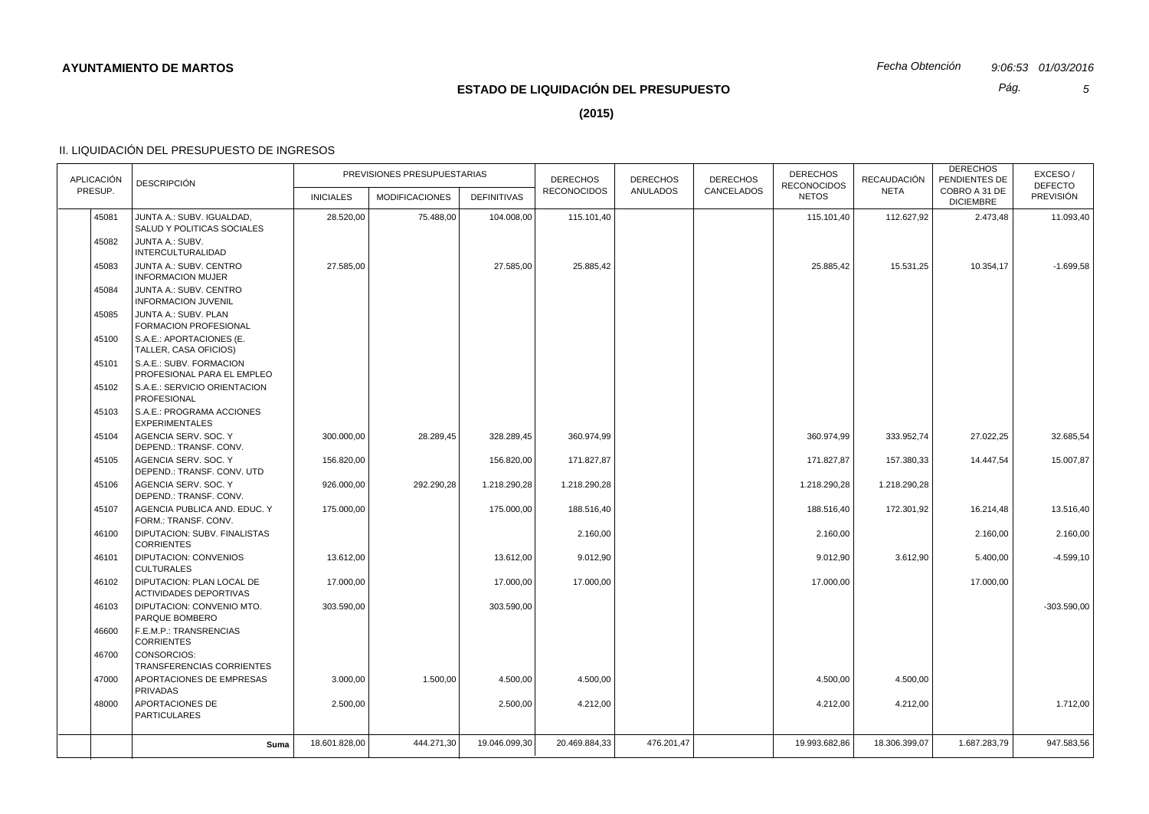*Pág.*

*5*

**(2015)**

| APLICACIÓN<br>PRESUP.<br>45081 |       | <b>DESCRIPCIÓN</b>                                         | PREVISIONES PRESUPUESTARIAS |                       |                    | <b>DERECHOS</b><br><b>RECONOCIDOS</b> | <b>DERECHOS</b><br><b>ANULADOS</b> | <b>DERECHOS</b> | <b>DERECHOS</b><br><b>RECONOCIDOS</b> | RECAUDACIÓN   | <b>DERECHOS</b><br>PENDIENTES DE  | EXCESO/<br><b>DEFECTO</b> |
|--------------------------------|-------|------------------------------------------------------------|-----------------------------|-----------------------|--------------------|---------------------------------------|------------------------------------|-----------------|---------------------------------------|---------------|-----------------------------------|---------------------------|
|                                |       |                                                            | <b>INICIALES</b>            | <b>MODIFICACIONES</b> | <b>DEFINITIVAS</b> |                                       |                                    | CANCELADOS      | <b>NETOS</b>                          | <b>NETA</b>   | COBRO A 31 DE<br><b>DICIEMBRE</b> | <b>PREVISIÓN</b>          |
|                                |       | JUNTA A.: SUBV. IGUALDAD,<br>SALUD Y POLITICAS SOCIALES    | 28.520,00                   | 75.488,00             | 104.008,00         | 115.101,40                            |                                    |                 | 115.101,40                            | 112.627,92    | 2.473,48                          | 11.093,40                 |
|                                | 45082 | JUNTA A.: SUBV.<br><b>INTERCULTURALIDAD</b>                |                             |                       |                    |                                       |                                    |                 |                                       |               |                                   |                           |
|                                | 45083 | JUNTA A.: SUBV. CENTRO<br><b>INFORMACION MUJER</b>         | 27.585,00                   |                       | 27.585,00          | 25.885,42                             |                                    |                 | 25.885,42                             | 15.531,25     | 10.354,17                         | $-1.699,58$               |
|                                | 45084 | JUNTA A.: SUBV. CENTRO<br><b>INFORMACION JUVENIL</b>       |                             |                       |                    |                                       |                                    |                 |                                       |               |                                   |                           |
|                                | 45085 | JUNTA A.: SUBV. PLAN<br>FORMACION PROFESIONAL              |                             |                       |                    |                                       |                                    |                 |                                       |               |                                   |                           |
|                                | 45100 | S.A.E.: APORTACIONES (E.<br>TALLER, CASA OFICIOS)          |                             |                       |                    |                                       |                                    |                 |                                       |               |                                   |                           |
|                                | 45101 | S.A.E.: SUBV. FORMACION<br>PROFESIONAL PARA EL EMPLEO      |                             |                       |                    |                                       |                                    |                 |                                       |               |                                   |                           |
|                                | 45102 | S.A.E.: SERVICIO ORIENTACION<br><b>PROFESIONAL</b>         |                             |                       |                    |                                       |                                    |                 |                                       |               |                                   |                           |
|                                | 45103 | S.A.E.: PROGRAMA ACCIONES<br><b>EXPERIMENTALES</b>         |                             |                       |                    |                                       |                                    |                 |                                       |               |                                   |                           |
|                                | 45104 | AGENCIA SERV. SOC. Y<br>DEPEND.: TRANSF. CONV.             | 300.000,00                  | 28.289,45             | 328.289,45         | 360.974,99                            |                                    |                 | 360.974,99                            | 333.952,74    | 27.022,25                         | 32.685,54                 |
|                                | 45105 | AGENCIA SERV. SOC. Y<br>DEPEND.: TRANSF. CONV. UTD         | 156.820,00                  |                       | 156.820,00         | 171.827,87                            |                                    |                 | 171.827,87                            | 157.380,33    | 14.447,54                         | 15.007,87                 |
|                                | 45106 | AGENCIA SERV. SOC. Y<br>DEPEND.: TRANSF. CONV.             | 926.000.00                  | 292.290,28            | 1.218.290,28       | 1.218.290,28                          |                                    |                 | 1.218.290.28                          | 1.218.290.28  |                                   |                           |
|                                | 45107 | AGENCIA PUBLICA AND. EDUC. Y<br>FORM.: TRANSF. CONV.       | 175.000,00                  |                       | 175.000,00         | 188.516,40                            |                                    |                 | 188.516,40                            | 172.301,92    | 16.214,48                         | 13.516,40                 |
|                                | 46100 | DIPUTACION: SUBV. FINALISTAS<br><b>CORRIENTES</b>          |                             |                       |                    | 2.160,00                              |                                    |                 | 2.160,00                              |               | 2.160,00                          | 2.160,00                  |
|                                | 46101 | DIPUTACION: CONVENIOS<br><b>CULTURALES</b>                 | 13.612,00                   |                       | 13.612,00          | 9.012,90                              |                                    |                 | 9.012,90                              | 3.612,90      | 5.400,00                          | $-4.599, 10$              |
|                                | 46102 | DIPUTACION: PLAN LOCAL DE<br><b>ACTIVIDADES DEPORTIVAS</b> | 17.000,00                   |                       | 17.000,00          | 17.000,00                             |                                    |                 | 17.000,00                             |               | 17.000,00                         |                           |
|                                | 46103 | DIPUTACION: CONVENIO MTO.<br>PARQUE BOMBERO                | 303.590,00                  |                       | 303.590,00         |                                       |                                    |                 |                                       |               |                                   | $-303.590,00$             |
|                                | 46600 | F.E.M.P.: TRANSRENCIAS<br><b>CORRIENTES</b>                |                             |                       |                    |                                       |                                    |                 |                                       |               |                                   |                           |
|                                | 46700 | CONSORCIOS:<br>TRANSFERENCIAS CORRIENTES                   |                             |                       |                    |                                       |                                    |                 |                                       |               |                                   |                           |
|                                | 47000 | APORTACIONES DE EMPRESAS<br>PRIVADAS                       | 3.000,00                    | 1.500,00              | 4.500,00           | 4.500,00                              |                                    |                 | 4.500,00                              | 4.500,00      |                                   |                           |
|                                | 48000 | APORTACIONES DE<br><b>PARTICULARES</b>                     | 2.500,00                    |                       | 2.500,00           | 4.212,00                              |                                    |                 | 4.212,00                              | 4.212,00      |                                   | 1.712,00                  |
|                                |       | Suma                                                       | 18.601.828,00               | 444.271,30            | 19.046.099,30      | 20.469.884,33                         | 476.201.47                         |                 | 19.993.682.86                         | 18.306.399.07 | 1.687.283,79                      | 947.583,56                |
|                                |       |                                                            |                             |                       |                    |                                       |                                    |                 |                                       |               |                                   |                           |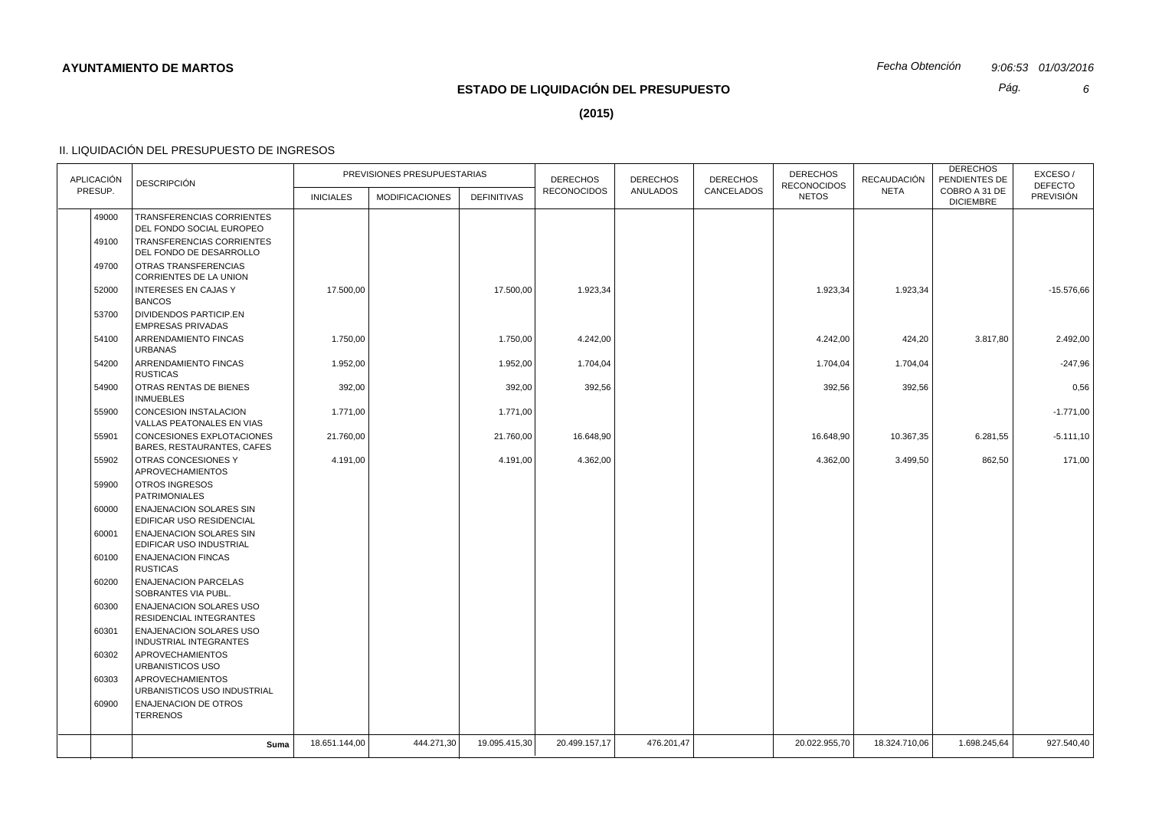*Pág.*

*6*

**(2015)**

| <b>APLICACIÓN</b> | <b>DESCRIPCIÓN</b>                                                                 | PREVISIONES PRESUPUESTARIAS |                       |                    | <b>DERECHOS</b><br><b>RECONOCIDOS</b> | <b>DERECHOS</b><br><b>ANULADOS</b> | <b>DERECHOS</b><br>CANCELADOS | <b>DERECHOS</b><br><b>RECONOCIDOS</b> | <b>RECAUDACIÓN</b><br><b>NETA</b> | <b>DERECHOS</b><br>PENDIENTES DE  | EXCESO/<br><b>DEFECTO</b> |
|-------------------|------------------------------------------------------------------------------------|-----------------------------|-----------------------|--------------------|---------------------------------------|------------------------------------|-------------------------------|---------------------------------------|-----------------------------------|-----------------------------------|---------------------------|
| PRESUP.           |                                                                                    | <b>INICIALES</b>            | <b>MODIFICACIONES</b> | <b>DEFINITIVAS</b> |                                       |                                    |                               | <b>NETOS</b>                          |                                   | COBRO A 31 DE<br><b>DICIEMBRE</b> | PREVISIÓN                 |
| 49000<br>49100    | TRANSFERENCIAS CORRIENTES<br>DEL FONDO SOCIAL EUROPEO<br>TRANSFERENCIAS CORRIENTES |                             |                       |                    |                                       |                                    |                               |                                       |                                   |                                   |                           |
|                   | DEL FONDO DE DESARROLLO                                                            |                             |                       |                    |                                       |                                    |                               |                                       |                                   |                                   |                           |
| 49700             | OTRAS TRANSFERENCIAS<br>CORRIENTES DE LA UNION                                     |                             |                       |                    |                                       |                                    |                               |                                       |                                   |                                   |                           |
| 52000             | <b>INTERESES EN CAJAS Y</b><br><b>BANCOS</b>                                       | 17.500,00                   |                       | 17.500,00          | 1.923,34                              |                                    |                               | 1.923,34                              | 1.923,34                          |                                   | $-15.576,66$              |
| 53700             | <b>DIVIDENDOS PARTICIP.EN</b><br><b>EMPRESAS PRIVADAS</b>                          |                             |                       |                    |                                       |                                    |                               |                                       |                                   |                                   |                           |
| 54100             | ARRENDAMIENTO FINCAS<br><b>URBANAS</b>                                             | 1.750,00                    |                       | 1.750,00           | 4.242,00                              |                                    |                               | 4.242,00                              | 424,20                            | 3.817,80                          | 2.492,00                  |
| 54200             | ARRENDAMIENTO FINCAS<br><b>RUSTICAS</b>                                            | 1.952,00                    |                       | 1.952,00           | 1.704,04                              |                                    |                               | 1.704,04                              | 1.704,04                          |                                   | $-247,96$                 |
| 54900             | OTRAS RENTAS DE BIENES<br><b>INMUEBLES</b>                                         | 392,00                      |                       | 392,00             | 392,56                                |                                    |                               | 392,56                                | 392,56                            |                                   | 0,56                      |
| 55900             | CONCESION INSTALACION<br>VALLAS PEATONALES EN VIAS                                 | 1.771,00                    |                       | 1.771,00           |                                       |                                    |                               |                                       |                                   |                                   | $-1.771,00$               |
| 55901             | CONCESIONES EXPLOTACIONES<br>BARES, RESTAURANTES, CAFES                            | 21.760,00                   |                       | 21.760,00          | 16.648,90                             |                                    |                               | 16.648,90                             | 10.367,35                         | 6.281,55                          | $-5.111,10$               |
| 55902             | OTRAS CONCESIONES Y<br><b>APROVECHAMIENTOS</b>                                     | 4.191,00                    |                       | 4.191,00           | 4.362,00                              |                                    |                               | 4.362,00                              | 3.499,50                          | 862,50                            | 171,00                    |
| 59900             | <b>OTROS INGRESOS</b><br><b>PATRIMONIALES</b>                                      |                             |                       |                    |                                       |                                    |                               |                                       |                                   |                                   |                           |
| 60000             | <b>ENAJENACION SOLARES SIN</b><br>EDIFICAR USO RESIDENCIAL                         |                             |                       |                    |                                       |                                    |                               |                                       |                                   |                                   |                           |
| 60001             | <b>ENAJENACION SOLARES SIN</b><br>EDIFICAR USO INDUSTRIAL                          |                             |                       |                    |                                       |                                    |                               |                                       |                                   |                                   |                           |
| 60100             | <b>ENAJENACION FINCAS</b><br><b>RUSTICAS</b>                                       |                             |                       |                    |                                       |                                    |                               |                                       |                                   |                                   |                           |
| 60200             | <b>ENAJENACION PARCELAS</b><br>SOBRANTES VIA PUBL.                                 |                             |                       |                    |                                       |                                    |                               |                                       |                                   |                                   |                           |
| 60300             | <b>ENAJENACION SOLARES USO</b><br>RESIDENCIAL INTEGRANTES                          |                             |                       |                    |                                       |                                    |                               |                                       |                                   |                                   |                           |
| 60301             | <b>ENAJENACION SOLARES USO</b><br>INDUSTRIAL INTEGRANTES                           |                             |                       |                    |                                       |                                    |                               |                                       |                                   |                                   |                           |
| 60302             | <b>APROVECHAMIENTOS</b><br>URBANISTICOS USO                                        |                             |                       |                    |                                       |                                    |                               |                                       |                                   |                                   |                           |
| 60303             | <b>APROVECHAMIENTOS</b><br>URBANISTICOS USO INDUSTRIAL                             |                             |                       |                    |                                       |                                    |                               |                                       |                                   |                                   |                           |
| 60900             | <b>ENAJENACION DE OTROS</b><br><b>TERRENOS</b>                                     |                             |                       |                    |                                       |                                    |                               |                                       |                                   |                                   |                           |
|                   | Suma                                                                               | 18.651.144,00               | 444.271,30            | 19.095.415,30      | 20.499.157,17                         | 476.201,47                         |                               | 20.022.955,70                         | 18.324.710,06                     | 1.698.245,64                      | 927.540,40                |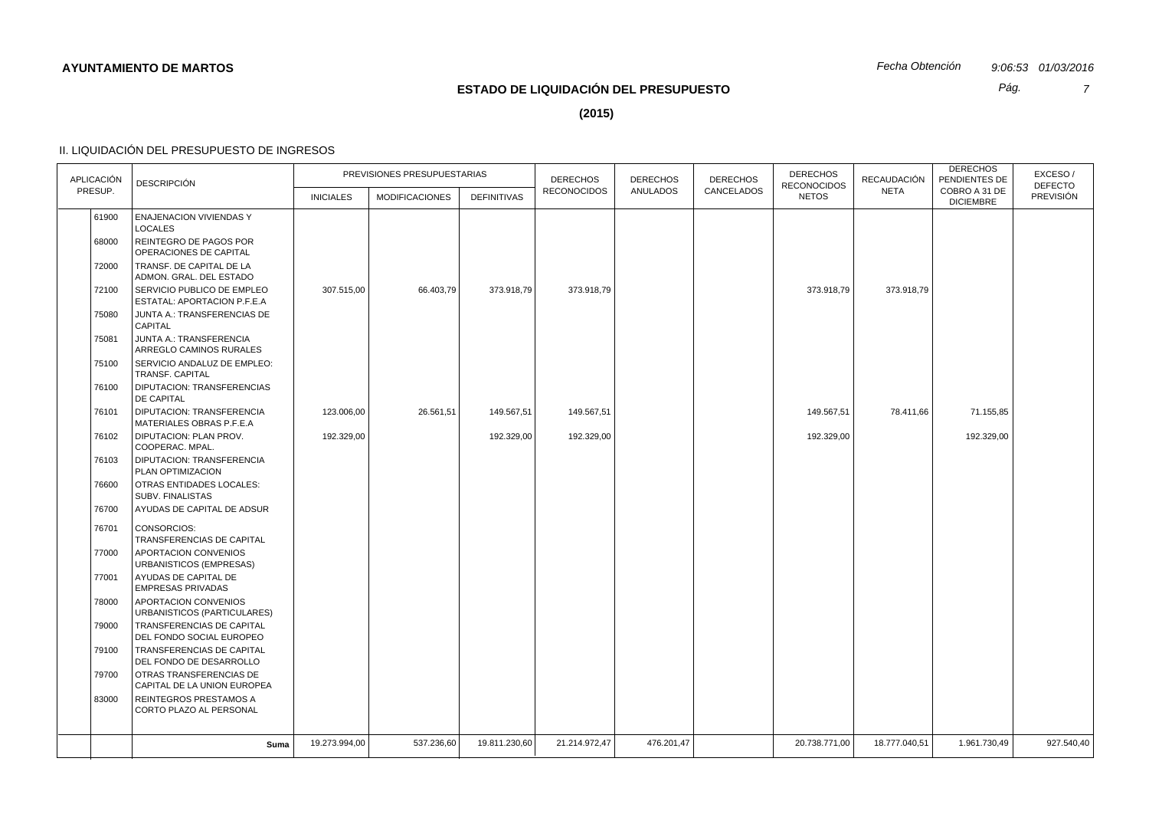*Pág.*

*7*

**(2015)**

| APLICACIÓN | <b>DESCRIPCIÓN</b>                                        | PREVISIONES PRESUPUESTARIAS |                       |                    | <b>DERECHOS</b><br><b>RECONOCIDOS</b> | <b>DERECHOS</b><br><b>ANULADOS</b> | <b>DERECHOS</b><br>CANCELADOS | <b>DERECHOS</b><br><b>RECONOCIDOS</b> | RECAUDACIÓN   | <b>DERECHOS</b><br>PENDIENTES DE  | EXCESO/<br><b>DEFECTO</b> |
|------------|-----------------------------------------------------------|-----------------------------|-----------------------|--------------------|---------------------------------------|------------------------------------|-------------------------------|---------------------------------------|---------------|-----------------------------------|---------------------------|
| PRESUP.    |                                                           | <b>INICIALES</b>            | <b>MODIFICACIONES</b> | <b>DEFINITIVAS</b> |                                       |                                    |                               | <b>NETOS</b>                          | <b>NETA</b>   | COBRO A 31 DE<br><b>DICIEMBRE</b> | PREVISIÓN                 |
| 61900      | <b>ENAJENACION VIVIENDAS Y</b><br><b>LOCALES</b>          |                             |                       |                    |                                       |                                    |                               |                                       |               |                                   |                           |
| 68000      | REINTEGRO DE PAGOS POR<br>OPERACIONES DE CAPITAL          |                             |                       |                    |                                       |                                    |                               |                                       |               |                                   |                           |
| 72000      | TRANSF. DE CAPITAL DE LA<br>ADMON. GRAL. DEL ESTADO       |                             |                       |                    |                                       |                                    |                               |                                       |               |                                   |                           |
| 72100      | SERVICIO PUBLICO DE EMPLEO<br>ESTATAL: APORTACION P.F.E.A | 307.515,00                  | 66.403,79             | 373.918,79         | 373.918,79                            |                                    |                               | 373.918,79                            | 373.918,79    |                                   |                           |
| 75080      | JUNTA A.: TRANSFERENCIAS DE<br>CAPITAL                    |                             |                       |                    |                                       |                                    |                               |                                       |               |                                   |                           |
| 75081      | JUNTA A.: TRANSFERENCIA<br>ARREGLO CAMINOS RURALES        |                             |                       |                    |                                       |                                    |                               |                                       |               |                                   |                           |
| 75100      | SERVICIO ANDALUZ DE EMPLEO:<br>TRANSF. CAPITAL            |                             |                       |                    |                                       |                                    |                               |                                       |               |                                   |                           |
| 76100      | DIPUTACION: TRANSFERENCIAS<br>DE CAPITAL                  |                             |                       |                    |                                       |                                    |                               |                                       |               |                                   |                           |
| 76101      | DIPUTACION: TRANSFERENCIA<br>MATERIALES OBRAS P.F.E.A     | 123.006,00                  | 26.561,51             | 149.567,51         | 149.567,51                            |                                    |                               | 149.567,51                            | 78.411,66     | 71.155,85                         |                           |
| 76102      | DIPUTACION: PLAN PROV.<br>COOPERAC. MPAL.                 | 192.329,00                  |                       | 192.329,00         | 192.329,00                            |                                    |                               | 192.329,00                            |               | 192.329,00                        |                           |
| 76103      | DIPUTACION: TRANSFERENCIA<br>PLAN OPTIMIZACION            |                             |                       |                    |                                       |                                    |                               |                                       |               |                                   |                           |
| 76600      | OTRAS ENTIDADES LOCALES:<br>SUBV. FINALISTAS              |                             |                       |                    |                                       |                                    |                               |                                       |               |                                   |                           |
| 76700      | AYUDAS DE CAPITAL DE ADSUR                                |                             |                       |                    |                                       |                                    |                               |                                       |               |                                   |                           |
| 76701      | CONSORCIOS:<br>TRANSFERENCIAS DE CAPITAL                  |                             |                       |                    |                                       |                                    |                               |                                       |               |                                   |                           |
| 77000      | APORTACION CONVENIOS<br>URBANISTICOS (EMPRESAS)           |                             |                       |                    |                                       |                                    |                               |                                       |               |                                   |                           |
| 77001      | AYUDAS DE CAPITAL DE<br><b>EMPRESAS PRIVADAS</b>          |                             |                       |                    |                                       |                                    |                               |                                       |               |                                   |                           |
| 78000      | APORTACION CONVENIOS<br>URBANISTICOS (PARTICULARES)       |                             |                       |                    |                                       |                                    |                               |                                       |               |                                   |                           |
| 79000      | TRANSFERENCIAS DE CAPITAL<br>DEL FONDO SOCIAL EUROPEO     |                             |                       |                    |                                       |                                    |                               |                                       |               |                                   |                           |
| 79100      | TRANSFERENCIAS DE CAPITAL<br>DEL FONDO DE DESARROLLO      |                             |                       |                    |                                       |                                    |                               |                                       |               |                                   |                           |
| 79700      | OTRAS TRANSFERENCIAS DE<br>CAPITAL DE LA UNION EUROPEA    |                             |                       |                    |                                       |                                    |                               |                                       |               |                                   |                           |
| 83000      | REINTEGROS PRESTAMOS A<br>CORTO PLAZO AL PERSONAL         |                             |                       |                    |                                       |                                    |                               |                                       |               |                                   |                           |
|            |                                                           | 19.273.994,00               | 537.236,60            | 19.811.230,60      | 21.214.972,47                         | 476.201,47                         |                               | 20.738.771,00                         | 18.777.040,51 | 1.961.730,49                      | 927.540,40                |
|            | Suma                                                      |                             |                       |                    |                                       |                                    |                               |                                       |               |                                   |                           |
|            |                                                           |                             |                       |                    |                                       |                                    |                               |                                       |               |                                   |                           |